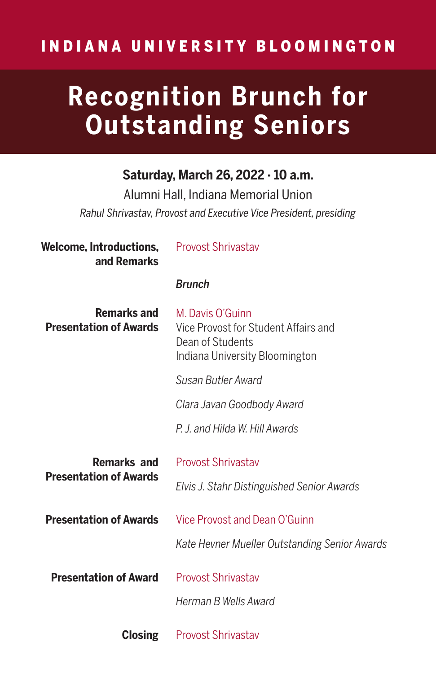# INDIANA UNIVERSITY BLOOMINGTON

# **Recognition Brunch for Outstanding Seniors**

### **Saturday, March 26, 2022 · 10 a.m.**

Alumni Hall, Indiana Memorial Union *Rahul Shrivastav, Provost and Executive Vice President, presiding*

| Welcome, Introductions,<br>and Remarks              | <b>Provost Shrivastav</b>                                                                                      |
|-----------------------------------------------------|----------------------------------------------------------------------------------------------------------------|
|                                                     | <b>Brunch</b>                                                                                                  |
| <b>Remarks and</b><br><b>Presentation of Awards</b> | M. Davis O'Guinn<br>Vice Provost for Student Affairs and<br>Dean of Students<br>Indiana University Bloomington |
|                                                     | Susan Butler Award                                                                                             |
|                                                     | Clara Javan Goodbody Award                                                                                     |
|                                                     | P. J. and Hilda W. Hill Awards                                                                                 |
| <b>Remarks and</b><br><b>Presentation of Awards</b> | <b>Provost Shrivastav</b><br>Elvis J. Stahr Distinguished Senior Awards                                        |
| <b>Presentation of Awards</b>                       | Vice Provost and Dean O'Guinn                                                                                  |
|                                                     | Kate Hevner Mueller Outstanding Senior Awards                                                                  |
| <b>Presentation of Award</b>                        | <b>Provost Shrivastav</b><br>Herman B Wells Award                                                              |
| <b>Closing</b>                                      | <b>Provost Shrivastav</b>                                                                                      |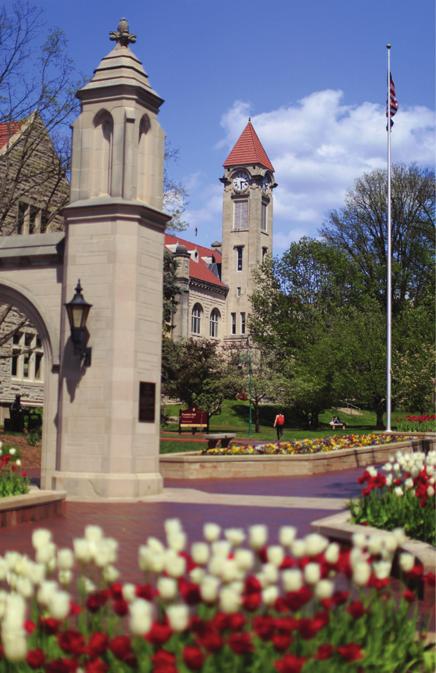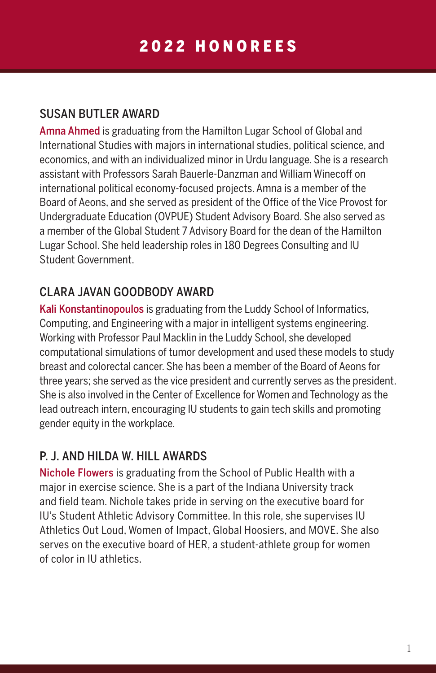### SUSAN BUTLER AWARD

Amna Ahmed is graduating from the Hamilton Lugar School of Global and International Studies with majors in international studies, political science, and economics, and with an individualized minor in Urdu language. She is a research assistant with Professors Sarah Bauerle-Danzman and William Winecoff on international political economy-focused projects. Amna is a member of the Board of Aeons, and she served as president of the Office of the Vice Provost for Undergraduate Education (OVPUE) Student Advisory Board. She also served as a member of the Global Student 7 Advisory Board for the dean of the Hamilton Lugar School. She held leadership roles in 180 Degrees Consulting and IU Student Government.

## CLARA JAVAN GOODBODY AWARD

Kali Konstantinopoulos is graduating from the Luddy School of Informatics, Computing, and Engineering with a major in intelligent systems engineering. Working with Professor Paul Macklin in the Luddy School, she developed computational simulations of tumor development and used these models to study breast and colorectal cancer. She has been a member of the Board of Aeons for three years; she served as the vice president and currently serves as the president. She is also involved in the Center of Excellence for Women and Technology as the lead outreach intern, encouraging IU students to gain tech skills and promoting gender equity in the workplace.

### P. J. AND HILDA W. HILL AWARDS

Nichole Flowers is graduating from the School of Public Health with a major in exercise science. She is a part of the Indiana University track and field team. Nichole takes pride in serving on the executive board for IU's Student Athletic Advisory Committee. In this role, she supervises IU Athletics Out Loud, Women of Impact, Global Hoosiers, and MOVE. She also serves on the executive board of HER, a student-athlete group for women of color in IU athletics.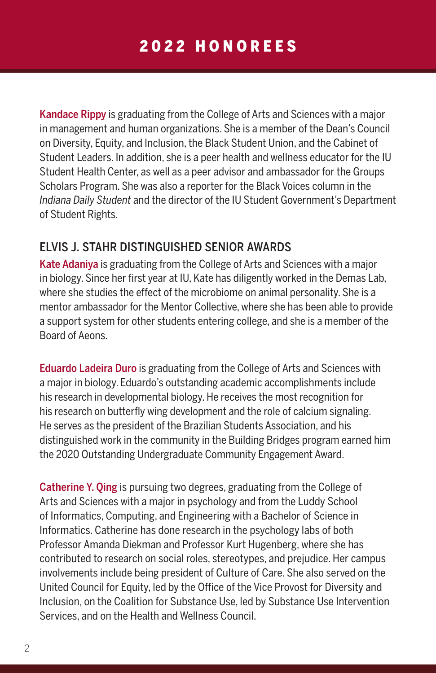# 2022 HONOREES

Kandace Rippy is graduating from the College of Arts and Sciences with a major in management and human organizations. She is a member of the Dean's Council on Diversity, Equity, and Inclusion, the Black Student Union, and the Cabinet of Student Leaders. In addition, she is a peer health and wellness educator for the IU Student Health Center, as well as a peer advisor and ambassador for the Groups Scholars Program. She was also a reporter for the Black Voices column in the *Indiana Daily Student* and the director of the IU Student Government's Department of Student Rights.

### ELVIS J. STAHR DISTINGUISHED SENIOR AWARDS

Kate Adaniya is graduating from the College of Arts and Sciences with a major in biology. Since her first year at IU, Kate has diligently worked in the Demas Lab, where she studies the effect of the microbiome on animal personality. She is a mentor ambassador for the Mentor Collective, where she has been able to provide a support system for other students entering college, and she is a member of the Board of Aeons.

**Eduardo Ladeira Duro** is graduating from the College of Arts and Sciences with a major in biology. Eduardo's outstanding academic accomplishments include his research in developmental biology. He receives the most recognition for his research on butterfly wing development and the role of calcium signaling. He serves as the president of the Brazilian Students Association, and his distinguished work in the community in the Building Bridges program earned him the 2020 Outstanding Undergraduate Community Engagement Award.

Catherine Y. Qing is pursuing two degrees, graduating from the College of Arts and Sciences with a major in psychology and from the Luddy School of Informatics, Computing, and Engineering with a Bachelor of Science in Informatics. Catherine has done research in the psychology labs of both Professor Amanda Diekman and Professor Kurt Hugenberg, where she has contributed to research on social roles, stereotypes, and prejudice. Her campus involvements include being president of Culture of Care. She also served on the United Council for Equity, led by the Office of the Vice Provost for Diversity and Inclusion, on the Coalition for Substance Use, led by Substance Use Intervention Services, and on the Health and Wellness Council.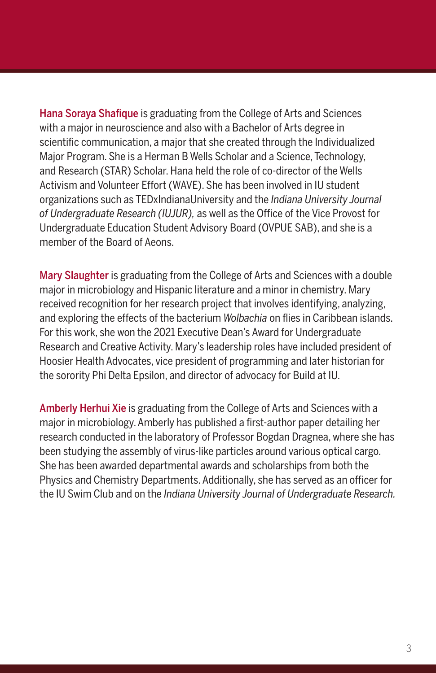Hana Soraya Shafique is graduating from the College of Arts and Sciences with a major in neuroscience and also with a Bachelor of Arts degree in scientific communication, a major that she created through the Individualized Major Program. She is a Herman B Wells Scholar and a Science, Technology, and Research (STAR) Scholar. Hana held the role of co-director of the Wells Activism and Volunteer Effort (WAVE). She has been involved in IU student organizations such as TEDxIndianaUniversity and the *Indiana University Journal of Undergraduate Research (IUJUR),* as well as the Office of the Vice Provost for Undergraduate Education Student Advisory Board (OVPUE SAB), and she is a member of the Board of Aeons.

Mary Slaughter is graduating from the College of Arts and Sciences with a double major in microbiology and Hispanic literature and a minor in chemistry. Mary received recognition for her research project that involves identifying, analyzing, and exploring the effects of the bacterium *Wolbachia* on flies in Caribbean islands. For this work, she won the 2021 Executive Dean's Award for Undergraduate Research and Creative Activity. Mary's leadership roles have included president of Hoosier Health Advocates, vice president of programming and later historian for the sorority Phi Delta Epsilon, and director of advocacy for Build at IU.

Amberly Herhui Xie is graduating from the College of Arts and Sciences with a major in microbiology. Amberly has published a first-author paper detailing her research conducted in the laboratory of Professor Bogdan Dragnea, where she has been studying the assembly of virus-like particles around various optical cargo. She has been awarded departmental awards and scholarships from both the Physics and Chemistry Departments. Additionally, she has served as an officer for the IU Swim Club and on the *Indiana University Journal of Undergraduate Research.*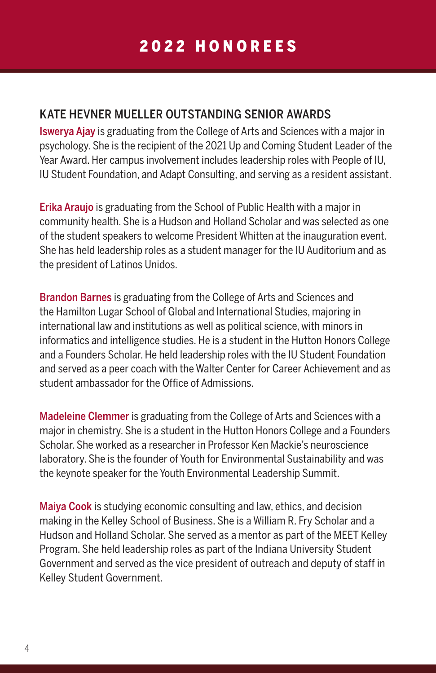### KATE HEVNER MUELLER OUTSTANDING SENIOR AWARDS

**Iswerya Ajay** is graduating from the College of Arts and Sciences with a major in psychology. She is the recipient of the 2021 Up and Coming Student Leader of the Year Award. Her campus involvement includes leadership roles with People of IU, IU Student Foundation, and Adapt Consulting, and serving as a resident assistant.

Erika Araujo is graduating from the School of Public Health with a major in community health. She is a Hudson and Holland Scholar and was selected as one of the student speakers to welcome President Whitten at the inauguration event. She has held leadership roles as a student manager for the IU Auditorium and as the president of Latinos Unidos.

Brandon Barnes is graduating from the College of Arts and Sciences and the Hamilton Lugar School of Global and International Studies, majoring in international law and institutions as well as political science, with minors in informatics and intelligence studies. He is a student in the Hutton Honors College and a Founders Scholar. He held leadership roles with the IU Student Foundation and served as a peer coach with the Walter Center for Career Achievement and as student ambassador for the Office of Admissions.

Madeleine Clemmer is graduating from the College of Arts and Sciences with a major in chemistry. She is a student in the Hutton Honors College and a Founders Scholar. She worked as a researcher in Professor Ken Mackie's neuroscience laboratory. She is the founder of Youth for Environmental Sustainability and was the keynote speaker for the Youth Environmental Leadership Summit.

Maiya Cook is studying economic consulting and law, ethics, and decision making in the Kelley School of Business. She is a William R. Fry Scholar and a Hudson and Holland Scholar. She served as a mentor as part of the MEET Kelley Program. She held leadership roles as part of the Indiana University Student Government and served as the vice president of outreach and deputy of staff in Kelley Student Government.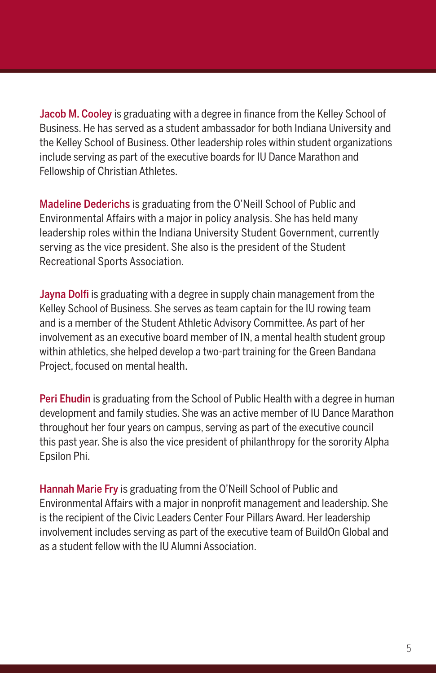Jacob M. Cooley is graduating with a degree in finance from the Kelley School of Business. He has served as a student ambassador for both Indiana University and the Kelley School of Business. Other leadership roles within student organizations include serving as part of the executive boards for IU Dance Marathon and Fellowship of Christian Athletes.

Madeline Dederichs is graduating from the O'Neill School of Public and Environmental Affairs with a major in policy analysis. She has held many leadership roles within the Indiana University Student Government, currently serving as the vice president. She also is the president of the Student Recreational Sports Association.

**Jayna Dolfi** is graduating with a degree in supply chain management from the Kelley School of Business. She serves as team captain for the IU rowing team and is a member of the Student Athletic Advisory Committee. As part of her involvement as an executive board member of IN, a mental health student group within athletics, she helped develop a two-part training for the Green Bandana Project, focused on mental health.

**Peri Ehudin** is graduating from the School of Public Health with a degree in human development and family studies. She was an active member of IU Dance Marathon throughout her four years on campus, serving as part of the executive council this past year. She is also the vice president of philanthropy for the sorority Alpha Epsilon Phi.

Hannah Marie Fry is graduating from the O'Neill School of Public and Environmental Affairs with a major in nonprofit management and leadership. She is the recipient of the Civic Leaders Center Four Pillars Award. Her leadership involvement includes serving as part of the executive team of BuildOn Global and as a student fellow with the IU Alumni Association.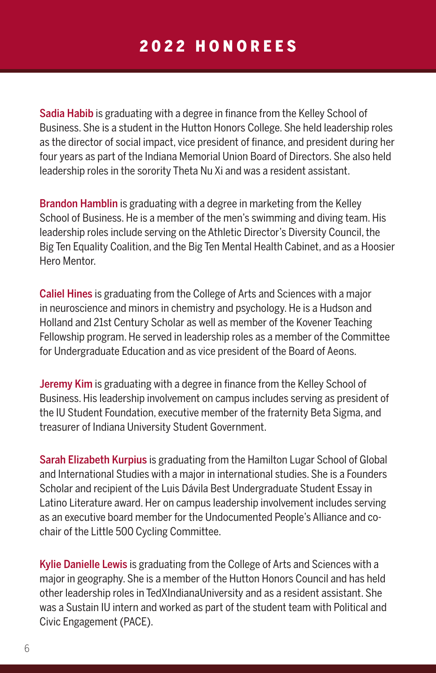# 2022 HONOREES

Sadia Habib is graduating with a degree in finance from the Kelley School of Business. She is a student in the Hutton Honors College. She held leadership roles as the director of social impact, vice president of finance, and president during her four years as part of the Indiana Memorial Union Board of Directors. She also held leadership roles in the sorority Theta Nu Xi and was a resident assistant.

Brandon Hamblin is graduating with a degree in marketing from the Kelley School of Business. He is a member of the men's swimming and diving team. His leadership roles include serving on the Athletic Director's Diversity Council, the Big Ten Equality Coalition, and the Big Ten Mental Health Cabinet, and as a Hoosier Hero Mentor.

Caliel Hines is graduating from the College of Arts and Sciences with a major in neuroscience and minors in chemistry and psychology. He is a Hudson and Holland and 21st Century Scholar as well as member of the Kovener Teaching Fellowship program. He served in leadership roles as a member of the Committee for Undergraduate Education and as vice president of the Board of Aeons.

**Jeremy Kim** is graduating with a degree in finance from the Kelley School of Business. His leadership involvement on campus includes serving as president of the IU Student Foundation, executive member of the fraternity Beta Sigma, and treasurer of Indiana University Student Government.

Sarah Elizabeth Kurpius is graduating from the Hamilton Lugar School of Global and International Studies with a major in international studies. She is a Founders Scholar and recipient of the Luis Dávila Best Undergraduate Student Essay in Latino Literature award. Her on campus leadership involvement includes serving as an executive board member for the Undocumented People's Alliance and cochair of the Little 500 Cycling Committee.

Kylie Danielle Lewis is graduating from the College of Arts and Sciences with a major in geography. She is a member of the Hutton Honors Council and has held other leadership roles in TedXIndianaUniversity and as a resident assistant. She was a Sustain IU intern and worked as part of the student team with Political and Civic Engagement (PACE).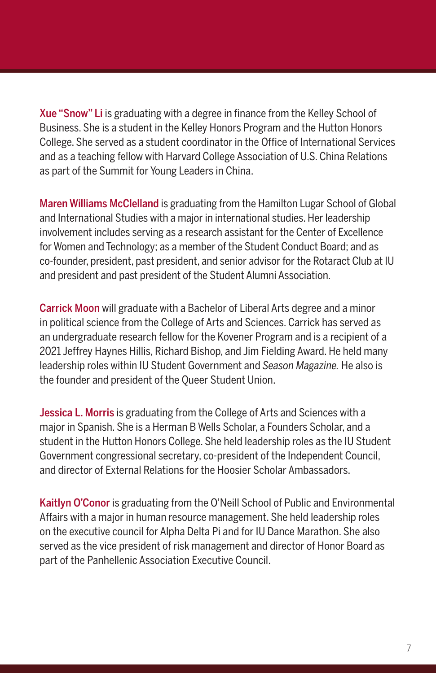Xue "Snow" Li is graduating with a degree in finance from the Kelley School of Business. She is a student in the Kelley Honors Program and the Hutton Honors College. She served as a student coordinator in the Office of International Services and as a teaching fellow with Harvard College Association of U.S. China Relations as part of the Summit for Young Leaders in China.

Maren Williams McClelland is graduating from the Hamilton Lugar School of Global and International Studies with a major in international studies. Her leadership involvement includes serving as a research assistant for the Center of Excellence for Women and Technology; as a member of the Student Conduct Board; and as co-founder, president, past president, and senior advisor for the Rotaract Club at IU and president and past president of the Student Alumni Association.

Carrick Moon will graduate with a Bachelor of Liberal Arts degree and a minor in political science from the College of Arts and Sciences. Carrick has served as an undergraduate research fellow for the Kovener Program and is a recipient of a 2021 Jeffrey Haynes Hillis, Richard Bishop, and Jim Fielding Award. He held many leadership roles within IU Student Government and *Season Magazine.* He also is the founder and president of the Queer Student Union.

**Jessica L. Morris** is graduating from the College of Arts and Sciences with a major in Spanish. She is a Herman B Wells Scholar, a Founders Scholar, and a student in the Hutton Honors College. She held leadership roles as the IU Student Government congressional secretary, co-president of the Independent Council, and director of External Relations for the Hoosier Scholar Ambassadors.

Kaitlyn O'Conor is graduating from the O'Neill School of Public and Environmental Affairs with a major in human resource management. She held leadership roles on the executive council for Alpha Delta Pi and for IU Dance Marathon. She also served as the vice president of risk management and director of Honor Board as part of the Panhellenic Association Executive Council.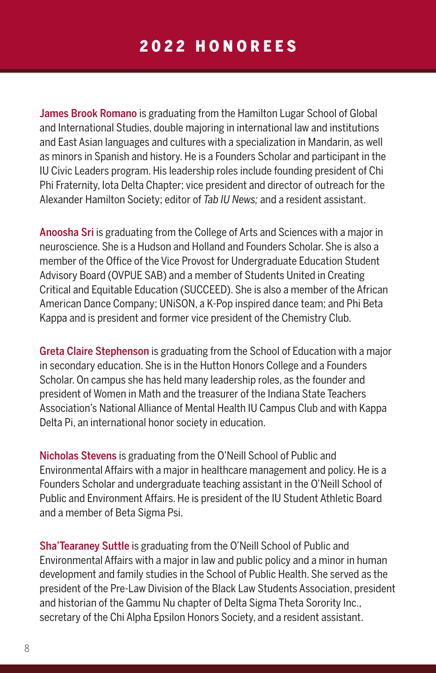# 2022 HONOREES

James Brook Romano is graduating from the Hamilton Lugar School of Global and International Studies, double majoring in international law and institutions and East Asian languages and cultures with a specialization in Mandarin, as well as minors in Spanish and history. He is a Founders Scholar and participant in the IU Civic Leaders program. His leadership roles include founding president of Chi Phi Fraternity, Iota Delta Chapter; vice president and director of outreach for the Alexander Hamilton Society; editor of *Tab IU News;* and a resident assistant.

Anoosha Sri is graduating from the College of Arts and Sciences with a major in neuroscience. She is a Hudson and Holland and Founders Scholar. She is also a member of the Office of the Vice Provost for Undergraduate Education Student Advisory Board (OVPUE SAB) and a member of Students United in Creating Critical and Equitable Education (SUCCEED). She is also a member of the African American Dance Company; UNiSON, a K-Pop inspired dance team; and Phi Beta Kappa and is president and former vice president of the Chemistry Club.

Greta Claire Stephenson is graduating from the School of Education with a major in secondary education. She is in the Hutton Honors College and a Founders Scholar. On campus she has held many leadership roles, as the founder and president of Women in Math and the treasurer of the Indiana State Teachers Association's National Alliance of Mental Health IU Campus Club and with Kappa Delta Pi, an international honor society in education.

Nicholas Stevens is graduating from the O'Neill School of Public and Environmental Affairs with a major in healthcare management and policy. He is a Founders Scholar and undergraduate teaching assistant in the O'Neill School of Public and Environment Affairs. He is president of the IU Student Athletic Board and a member of Beta Sigma Psi.

Sha'Tearaney Suttle is graduating from the O'Neill School of Public and Environmental Affairs with a major in law and public policy and a minor in human development and family studies in the School of Public Health. She served as the president of the Pre-Law Division of the Black Law Students Association, president and historian of the Gammu Nu chapter of Delta Sigma Theta Sorority Inc., secretary of the Chi Alpha Epsilon Honors Society, and a resident assistant.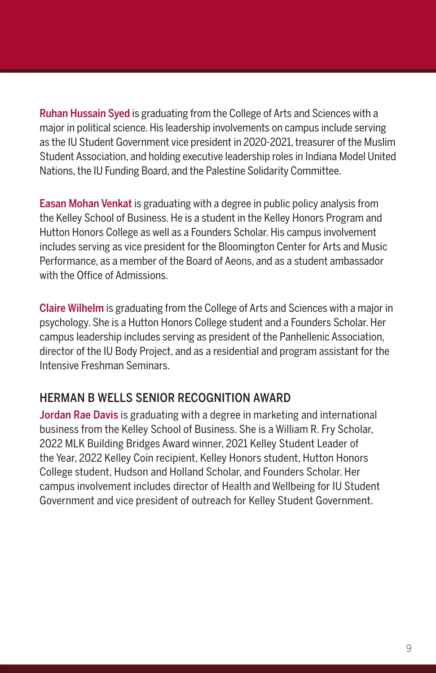Ruhan Hussain Syed is graduating from the College of Arts and Sciences with a major in political science. His leadership involvements on campus include serving as the IU Student Government vice president in 2020-2021, treasurer of the Muslim Student Association, and holding executive leadership roles in Indiana Model United Nations, the IU Funding Board, and the Palestine Solidarity Committee.

Easan Mohan Venkat is graduating with a degree in public policy analysis from the Kelley School of Business. He is a student in the Kelley Honors Program and Hutton Honors College as well as a Founders Scholar. His campus involvement includes serving as vice president for the Bloomington Center for Arts and Music Performance, as a member of the Board of Aeons, and as a student ambassador with the Office of Admissions.

Claire Wilhelm is graduating from the College of Arts and Sciences with a major in psychology. She is a Hutton Honors College student and a Founders Scholar. Her campus leadership includes serving as president of the Panhellenic Association, director of the IU Body Project, and as a residential and program assistant for the Intensive Freshman Seminars.

### HERMAN B WELLS SENIOR RECOGNITION AWARD

Jordan Rae Davis is graduating with a degree in marketing and international business from the Kelley School of Business. She is a William R. Fry Scholar, 2022 MLK Building Bridges Award winner, 2021 Kelley Student Leader of the Year, 2022 Kelley Coin recipient, Kelley Honors student, Hutton Honors College student, Hudson and Holland Scholar, and Founders Scholar. Her campus involvement includes director of Health and Wellbeing for IU Student Government and vice president of outreach for Kelley Student Government.